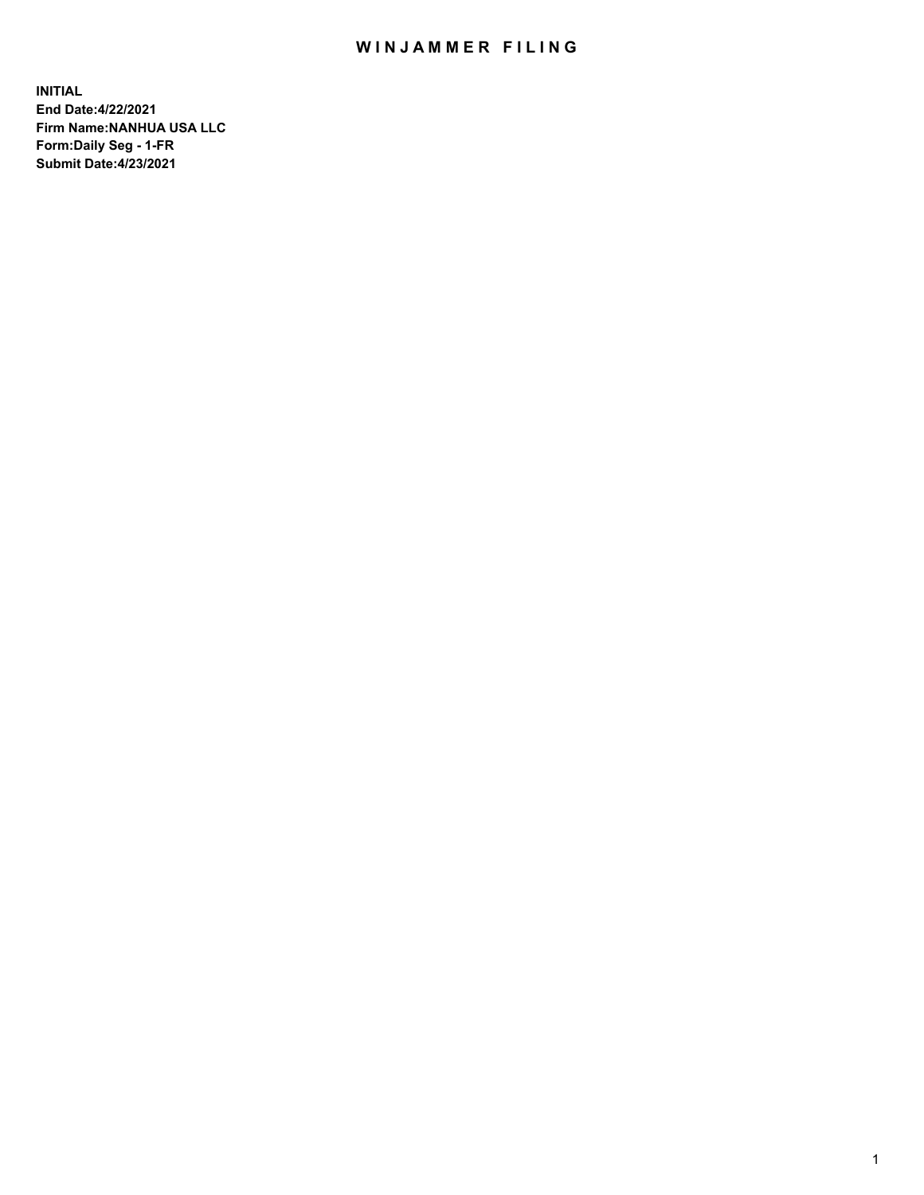## WIN JAMMER FILING

**INITIAL End Date:4/22/2021 Firm Name:NANHUA USA LLC Form:Daily Seg - 1-FR Submit Date:4/23/2021**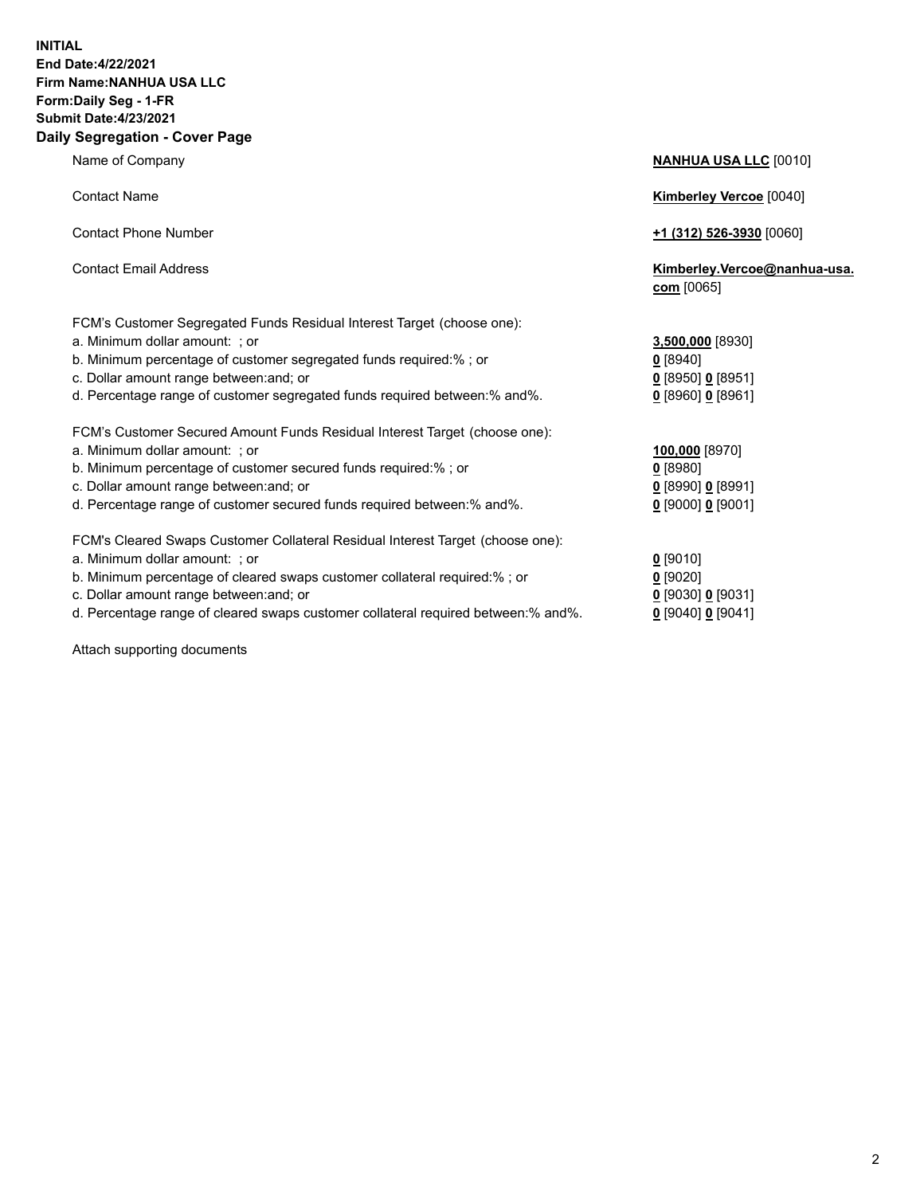## **INITIAL End Date:4/22/2021 Firm Name:NANHUA USA LLC Form:Daily Seg - 1-FR Submit Date:4/23/2021 Daily Segregation - Cover Page**

Name of Company **NANHUA USA LLC** [0010] Contact Name **Kimberley Vercoe** [0040] Contact Phone Number **+1 (312) 526-3930** [0060] Contact Email Address **Kimberley.Vercoe@nanhua-usa. com** [0065] FCM's Customer Segregated Funds Residual Interest Target (choose one): a. Minimum dollar amount: ; or **3,500,000** [8930] b. Minimum percentage of customer segregated funds required:% ; or **0** [8940] c. Dollar amount range between:and; or **0** [8950] **0** [8951] d. Percentage range of customer segregated funds required between:% and%. **0** [8960] **0** [8961] FCM's Customer Secured Amount Funds Residual Interest Target (choose one): a. Minimum dollar amount: ; or **100,000** [8970] b. Minimum percentage of customer secured funds required:% ; or **0** [8980] c. Dollar amount range between:and; or **0** [8990] **0** [8991] d. Percentage range of customer secured funds required between:% and%. **0** [9000] **0** [9001] FCM's Cleared Swaps Customer Collateral Residual Interest Target (choose one): a. Minimum dollar amount: ; or **0** [9010] b. Minimum percentage of cleared swaps customer collateral required:% ; or **0** [9020]

- 
- 

Attach supporting documents

| $0$ [8950] 0 [8951] |               |
|---------------------|---------------|
| $0$ [8960] 0 [8961] |               |
|                     |               |
| 100,000 [8970]      |               |
| $0$ [8980]          |               |
| $0$ [8990] 0 [8991] |               |
| $0$ [9000] 0 [9001] |               |
|                     |               |
| $0$ [9010]          |               |
| $0$ [9020]          |               |
| 0 [9030] 0 [9031]   |               |
|                     | $0.100 + 0.1$ |

d. Percentage range of cleared swaps customer collateral required between:% and%. **0** [9040] **0** [9041]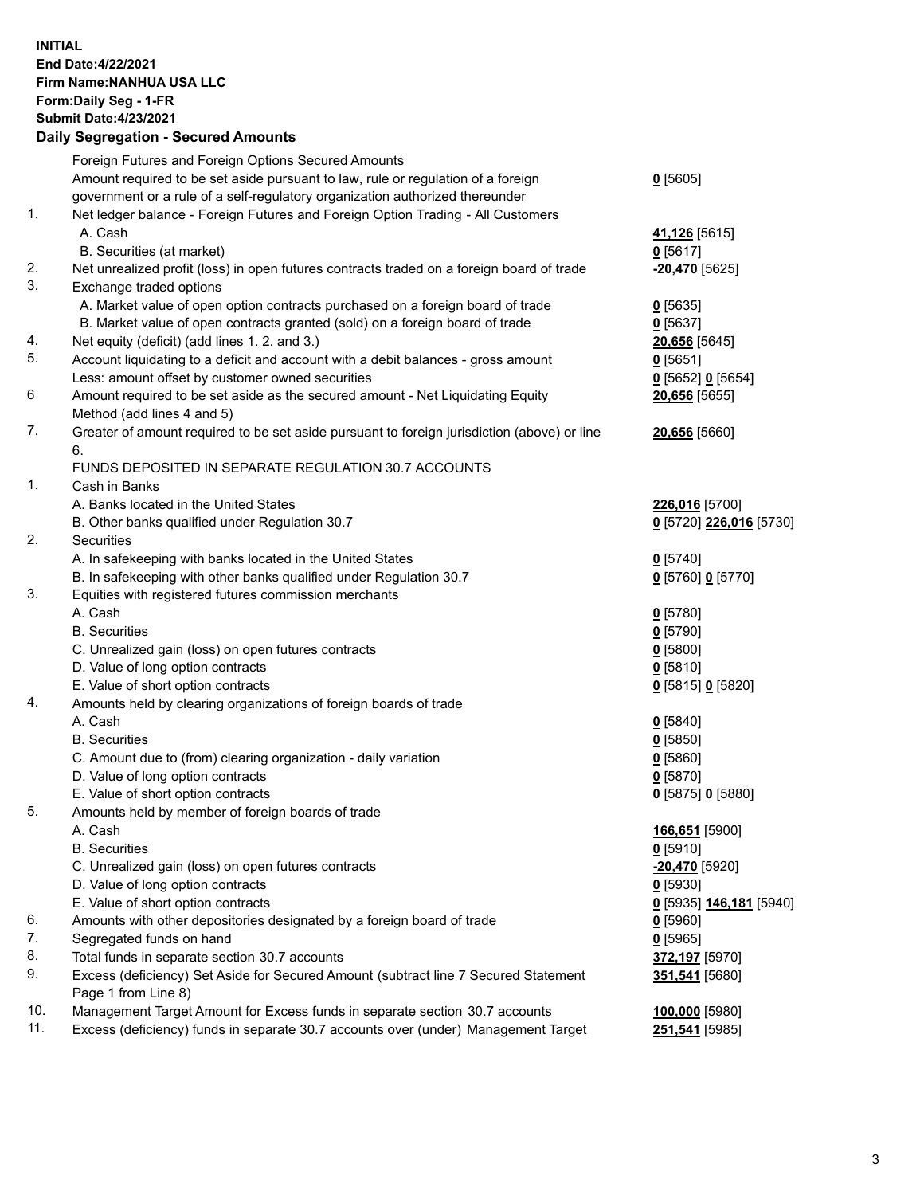## **INITIAL End Date:4/22/2021 Firm Name:NANHUA USA LLC Form:Daily Seg - 1-FR Submit Date:4/23/2021 Daily Segregation - Secured Amounts**

| Foreign Futures and Foreign Options Secured Amounts<br>Amount required to be set aside pursuant to law, rule or regulation of a foreign<br>$0$ [5605]<br>government or a rule of a self-regulatory organization authorized thereunder<br>1.<br>Net ledger balance - Foreign Futures and Foreign Option Trading - All Customers<br>A. Cash<br>41,126 [5615]<br>B. Securities (at market)<br>$0$ [5617]<br>2.<br>Net unrealized profit (loss) in open futures contracts traded on a foreign board of trade<br>-20,470 [5625]<br>3.<br>Exchange traded options<br>A. Market value of open option contracts purchased on a foreign board of trade<br>$0$ [5635]<br>B. Market value of open contracts granted (sold) on a foreign board of trade<br>$0$ [5637]<br>4.<br>Net equity (deficit) (add lines 1. 2. and 3.)<br>20,656 [5645]<br>5.<br>Account liquidating to a deficit and account with a debit balances - gross amount<br>$0$ [5651]<br>Less: amount offset by customer owned securities<br>0 [5652] 0 [5654]<br>6<br>Amount required to be set aside as the secured amount - Net Liquidating Equity<br>20,656 [5655]<br>Method (add lines 4 and 5)<br>7.<br>Greater of amount required to be set aside pursuant to foreign jurisdiction (above) or line<br>20,656 [5660]<br>6.<br>FUNDS DEPOSITED IN SEPARATE REGULATION 30.7 ACCOUNTS<br>1.<br>Cash in Banks<br>A. Banks located in the United States<br>226,016 [5700]<br>B. Other banks qualified under Regulation 30.7<br>0 [5720] 226,016 [5730]<br>2.<br>Securities<br>A. In safekeeping with banks located in the United States<br>$0$ [5740]<br>B. In safekeeping with other banks qualified under Regulation 30.7<br>0 [5760] 0 [5770]<br>3.<br>Equities with registered futures commission merchants<br>A. Cash<br>$0$ [5780]<br><b>B.</b> Securities<br>$0$ [5790]<br>C. Unrealized gain (loss) on open futures contracts<br>$0$ [5800]<br>D. Value of long option contracts<br>$0$ [5810]<br>E. Value of short option contracts<br>0 [5815] 0 [5820]<br>4.<br>Amounts held by clearing organizations of foreign boards of trade<br>A. Cash<br>$0$ [5840]<br><b>B.</b> Securities<br>$0$ [5850]<br>C. Amount due to (from) clearing organization - daily variation<br>$0$ [5860]<br>D. Value of long option contracts<br>$0$ [5870]<br>E. Value of short option contracts<br>0 [5875] 0 [5880]<br>5.<br>Amounts held by member of foreign boards of trade<br>A. Cash<br>166,651 [5900]<br><b>B.</b> Securities<br>$0$ [5910]<br>C. Unrealized gain (loss) on open futures contracts<br>-20,470 [5920]<br>D. Value of long option contracts<br>$0$ [5930]<br>E. Value of short option contracts<br>0 [5935] 146,181 [5940]<br>6.<br>Amounts with other depositories designated by a foreign board of trade<br>$0$ [5960]<br>7.<br>Segregated funds on hand<br>$0$ [5965]<br>8.<br>Total funds in separate section 30.7 accounts<br>372,197 [5970]<br>Excess (deficiency) Set Aside for Secured Amount (subtract line 7 Secured Statement<br>9.<br>351,541 [5680]<br>Page 1 from Line 8)<br>10.<br>Management Target Amount for Excess funds in separate section 30.7 accounts<br>100,000 [5980]<br>11.<br>Excess (deficiency) funds in separate 30.7 accounts over (under) Management Target<br>251,541 [5985] |  |  |
|---------------------------------------------------------------------------------------------------------------------------------------------------------------------------------------------------------------------------------------------------------------------------------------------------------------------------------------------------------------------------------------------------------------------------------------------------------------------------------------------------------------------------------------------------------------------------------------------------------------------------------------------------------------------------------------------------------------------------------------------------------------------------------------------------------------------------------------------------------------------------------------------------------------------------------------------------------------------------------------------------------------------------------------------------------------------------------------------------------------------------------------------------------------------------------------------------------------------------------------------------------------------------------------------------------------------------------------------------------------------------------------------------------------------------------------------------------------------------------------------------------------------------------------------------------------------------------------------------------------------------------------------------------------------------------------------------------------------------------------------------------------------------------------------------------------------------------------------------------------------------------------------------------------------------------------------------------------------------------------------------------------------------------------------------------------------------------------------------------------------------------------------------------------------------------------------------------------------------------------------------------------------------------------------------------------------------------------------------------------------------------------------------------------------------------------------------------------------------------------------------------------------------------------------------------------------------------------------------------------------------------------------------------------------------------------------------------------------------------------------------------------------------------------------------------------------------------------------------------------------------------------------------------------------------------------------------------------------------------------------------------------------------------------------------------------------------------------------------------------------------------------------------------------------------------------------------------------------------------------------------------------------------------|--|--|
|                                                                                                                                                                                                                                                                                                                                                                                                                                                                                                                                                                                                                                                                                                                                                                                                                                                                                                                                                                                                                                                                                                                                                                                                                                                                                                                                                                                                                                                                                                                                                                                                                                                                                                                                                                                                                                                                                                                                                                                                                                                                                                                                                                                                                                                                                                                                                                                                                                                                                                                                                                                                                                                                                                                                                                                                                                                                                                                                                                                                                                                                                                                                                                                                                                                                                 |  |  |
|                                                                                                                                                                                                                                                                                                                                                                                                                                                                                                                                                                                                                                                                                                                                                                                                                                                                                                                                                                                                                                                                                                                                                                                                                                                                                                                                                                                                                                                                                                                                                                                                                                                                                                                                                                                                                                                                                                                                                                                                                                                                                                                                                                                                                                                                                                                                                                                                                                                                                                                                                                                                                                                                                                                                                                                                                                                                                                                                                                                                                                                                                                                                                                                                                                                                                 |  |  |
|                                                                                                                                                                                                                                                                                                                                                                                                                                                                                                                                                                                                                                                                                                                                                                                                                                                                                                                                                                                                                                                                                                                                                                                                                                                                                                                                                                                                                                                                                                                                                                                                                                                                                                                                                                                                                                                                                                                                                                                                                                                                                                                                                                                                                                                                                                                                                                                                                                                                                                                                                                                                                                                                                                                                                                                                                                                                                                                                                                                                                                                                                                                                                                                                                                                                                 |  |  |
|                                                                                                                                                                                                                                                                                                                                                                                                                                                                                                                                                                                                                                                                                                                                                                                                                                                                                                                                                                                                                                                                                                                                                                                                                                                                                                                                                                                                                                                                                                                                                                                                                                                                                                                                                                                                                                                                                                                                                                                                                                                                                                                                                                                                                                                                                                                                                                                                                                                                                                                                                                                                                                                                                                                                                                                                                                                                                                                                                                                                                                                                                                                                                                                                                                                                                 |  |  |
|                                                                                                                                                                                                                                                                                                                                                                                                                                                                                                                                                                                                                                                                                                                                                                                                                                                                                                                                                                                                                                                                                                                                                                                                                                                                                                                                                                                                                                                                                                                                                                                                                                                                                                                                                                                                                                                                                                                                                                                                                                                                                                                                                                                                                                                                                                                                                                                                                                                                                                                                                                                                                                                                                                                                                                                                                                                                                                                                                                                                                                                                                                                                                                                                                                                                                 |  |  |
|                                                                                                                                                                                                                                                                                                                                                                                                                                                                                                                                                                                                                                                                                                                                                                                                                                                                                                                                                                                                                                                                                                                                                                                                                                                                                                                                                                                                                                                                                                                                                                                                                                                                                                                                                                                                                                                                                                                                                                                                                                                                                                                                                                                                                                                                                                                                                                                                                                                                                                                                                                                                                                                                                                                                                                                                                                                                                                                                                                                                                                                                                                                                                                                                                                                                                 |  |  |
|                                                                                                                                                                                                                                                                                                                                                                                                                                                                                                                                                                                                                                                                                                                                                                                                                                                                                                                                                                                                                                                                                                                                                                                                                                                                                                                                                                                                                                                                                                                                                                                                                                                                                                                                                                                                                                                                                                                                                                                                                                                                                                                                                                                                                                                                                                                                                                                                                                                                                                                                                                                                                                                                                                                                                                                                                                                                                                                                                                                                                                                                                                                                                                                                                                                                                 |  |  |
|                                                                                                                                                                                                                                                                                                                                                                                                                                                                                                                                                                                                                                                                                                                                                                                                                                                                                                                                                                                                                                                                                                                                                                                                                                                                                                                                                                                                                                                                                                                                                                                                                                                                                                                                                                                                                                                                                                                                                                                                                                                                                                                                                                                                                                                                                                                                                                                                                                                                                                                                                                                                                                                                                                                                                                                                                                                                                                                                                                                                                                                                                                                                                                                                                                                                                 |  |  |
|                                                                                                                                                                                                                                                                                                                                                                                                                                                                                                                                                                                                                                                                                                                                                                                                                                                                                                                                                                                                                                                                                                                                                                                                                                                                                                                                                                                                                                                                                                                                                                                                                                                                                                                                                                                                                                                                                                                                                                                                                                                                                                                                                                                                                                                                                                                                                                                                                                                                                                                                                                                                                                                                                                                                                                                                                                                                                                                                                                                                                                                                                                                                                                                                                                                                                 |  |  |
|                                                                                                                                                                                                                                                                                                                                                                                                                                                                                                                                                                                                                                                                                                                                                                                                                                                                                                                                                                                                                                                                                                                                                                                                                                                                                                                                                                                                                                                                                                                                                                                                                                                                                                                                                                                                                                                                                                                                                                                                                                                                                                                                                                                                                                                                                                                                                                                                                                                                                                                                                                                                                                                                                                                                                                                                                                                                                                                                                                                                                                                                                                                                                                                                                                                                                 |  |  |
|                                                                                                                                                                                                                                                                                                                                                                                                                                                                                                                                                                                                                                                                                                                                                                                                                                                                                                                                                                                                                                                                                                                                                                                                                                                                                                                                                                                                                                                                                                                                                                                                                                                                                                                                                                                                                                                                                                                                                                                                                                                                                                                                                                                                                                                                                                                                                                                                                                                                                                                                                                                                                                                                                                                                                                                                                                                                                                                                                                                                                                                                                                                                                                                                                                                                                 |  |  |
|                                                                                                                                                                                                                                                                                                                                                                                                                                                                                                                                                                                                                                                                                                                                                                                                                                                                                                                                                                                                                                                                                                                                                                                                                                                                                                                                                                                                                                                                                                                                                                                                                                                                                                                                                                                                                                                                                                                                                                                                                                                                                                                                                                                                                                                                                                                                                                                                                                                                                                                                                                                                                                                                                                                                                                                                                                                                                                                                                                                                                                                                                                                                                                                                                                                                                 |  |  |
|                                                                                                                                                                                                                                                                                                                                                                                                                                                                                                                                                                                                                                                                                                                                                                                                                                                                                                                                                                                                                                                                                                                                                                                                                                                                                                                                                                                                                                                                                                                                                                                                                                                                                                                                                                                                                                                                                                                                                                                                                                                                                                                                                                                                                                                                                                                                                                                                                                                                                                                                                                                                                                                                                                                                                                                                                                                                                                                                                                                                                                                                                                                                                                                                                                                                                 |  |  |
|                                                                                                                                                                                                                                                                                                                                                                                                                                                                                                                                                                                                                                                                                                                                                                                                                                                                                                                                                                                                                                                                                                                                                                                                                                                                                                                                                                                                                                                                                                                                                                                                                                                                                                                                                                                                                                                                                                                                                                                                                                                                                                                                                                                                                                                                                                                                                                                                                                                                                                                                                                                                                                                                                                                                                                                                                                                                                                                                                                                                                                                                                                                                                                                                                                                                                 |  |  |
|                                                                                                                                                                                                                                                                                                                                                                                                                                                                                                                                                                                                                                                                                                                                                                                                                                                                                                                                                                                                                                                                                                                                                                                                                                                                                                                                                                                                                                                                                                                                                                                                                                                                                                                                                                                                                                                                                                                                                                                                                                                                                                                                                                                                                                                                                                                                                                                                                                                                                                                                                                                                                                                                                                                                                                                                                                                                                                                                                                                                                                                                                                                                                                                                                                                                                 |  |  |
|                                                                                                                                                                                                                                                                                                                                                                                                                                                                                                                                                                                                                                                                                                                                                                                                                                                                                                                                                                                                                                                                                                                                                                                                                                                                                                                                                                                                                                                                                                                                                                                                                                                                                                                                                                                                                                                                                                                                                                                                                                                                                                                                                                                                                                                                                                                                                                                                                                                                                                                                                                                                                                                                                                                                                                                                                                                                                                                                                                                                                                                                                                                                                                                                                                                                                 |  |  |
|                                                                                                                                                                                                                                                                                                                                                                                                                                                                                                                                                                                                                                                                                                                                                                                                                                                                                                                                                                                                                                                                                                                                                                                                                                                                                                                                                                                                                                                                                                                                                                                                                                                                                                                                                                                                                                                                                                                                                                                                                                                                                                                                                                                                                                                                                                                                                                                                                                                                                                                                                                                                                                                                                                                                                                                                                                                                                                                                                                                                                                                                                                                                                                                                                                                                                 |  |  |
|                                                                                                                                                                                                                                                                                                                                                                                                                                                                                                                                                                                                                                                                                                                                                                                                                                                                                                                                                                                                                                                                                                                                                                                                                                                                                                                                                                                                                                                                                                                                                                                                                                                                                                                                                                                                                                                                                                                                                                                                                                                                                                                                                                                                                                                                                                                                                                                                                                                                                                                                                                                                                                                                                                                                                                                                                                                                                                                                                                                                                                                                                                                                                                                                                                                                                 |  |  |
|                                                                                                                                                                                                                                                                                                                                                                                                                                                                                                                                                                                                                                                                                                                                                                                                                                                                                                                                                                                                                                                                                                                                                                                                                                                                                                                                                                                                                                                                                                                                                                                                                                                                                                                                                                                                                                                                                                                                                                                                                                                                                                                                                                                                                                                                                                                                                                                                                                                                                                                                                                                                                                                                                                                                                                                                                                                                                                                                                                                                                                                                                                                                                                                                                                                                                 |  |  |
|                                                                                                                                                                                                                                                                                                                                                                                                                                                                                                                                                                                                                                                                                                                                                                                                                                                                                                                                                                                                                                                                                                                                                                                                                                                                                                                                                                                                                                                                                                                                                                                                                                                                                                                                                                                                                                                                                                                                                                                                                                                                                                                                                                                                                                                                                                                                                                                                                                                                                                                                                                                                                                                                                                                                                                                                                                                                                                                                                                                                                                                                                                                                                                                                                                                                                 |  |  |
|                                                                                                                                                                                                                                                                                                                                                                                                                                                                                                                                                                                                                                                                                                                                                                                                                                                                                                                                                                                                                                                                                                                                                                                                                                                                                                                                                                                                                                                                                                                                                                                                                                                                                                                                                                                                                                                                                                                                                                                                                                                                                                                                                                                                                                                                                                                                                                                                                                                                                                                                                                                                                                                                                                                                                                                                                                                                                                                                                                                                                                                                                                                                                                                                                                                                                 |  |  |
|                                                                                                                                                                                                                                                                                                                                                                                                                                                                                                                                                                                                                                                                                                                                                                                                                                                                                                                                                                                                                                                                                                                                                                                                                                                                                                                                                                                                                                                                                                                                                                                                                                                                                                                                                                                                                                                                                                                                                                                                                                                                                                                                                                                                                                                                                                                                                                                                                                                                                                                                                                                                                                                                                                                                                                                                                                                                                                                                                                                                                                                                                                                                                                                                                                                                                 |  |  |
|                                                                                                                                                                                                                                                                                                                                                                                                                                                                                                                                                                                                                                                                                                                                                                                                                                                                                                                                                                                                                                                                                                                                                                                                                                                                                                                                                                                                                                                                                                                                                                                                                                                                                                                                                                                                                                                                                                                                                                                                                                                                                                                                                                                                                                                                                                                                                                                                                                                                                                                                                                                                                                                                                                                                                                                                                                                                                                                                                                                                                                                                                                                                                                                                                                                                                 |  |  |
|                                                                                                                                                                                                                                                                                                                                                                                                                                                                                                                                                                                                                                                                                                                                                                                                                                                                                                                                                                                                                                                                                                                                                                                                                                                                                                                                                                                                                                                                                                                                                                                                                                                                                                                                                                                                                                                                                                                                                                                                                                                                                                                                                                                                                                                                                                                                                                                                                                                                                                                                                                                                                                                                                                                                                                                                                                                                                                                                                                                                                                                                                                                                                                                                                                                                                 |  |  |
|                                                                                                                                                                                                                                                                                                                                                                                                                                                                                                                                                                                                                                                                                                                                                                                                                                                                                                                                                                                                                                                                                                                                                                                                                                                                                                                                                                                                                                                                                                                                                                                                                                                                                                                                                                                                                                                                                                                                                                                                                                                                                                                                                                                                                                                                                                                                                                                                                                                                                                                                                                                                                                                                                                                                                                                                                                                                                                                                                                                                                                                                                                                                                                                                                                                                                 |  |  |
|                                                                                                                                                                                                                                                                                                                                                                                                                                                                                                                                                                                                                                                                                                                                                                                                                                                                                                                                                                                                                                                                                                                                                                                                                                                                                                                                                                                                                                                                                                                                                                                                                                                                                                                                                                                                                                                                                                                                                                                                                                                                                                                                                                                                                                                                                                                                                                                                                                                                                                                                                                                                                                                                                                                                                                                                                                                                                                                                                                                                                                                                                                                                                                                                                                                                                 |  |  |
|                                                                                                                                                                                                                                                                                                                                                                                                                                                                                                                                                                                                                                                                                                                                                                                                                                                                                                                                                                                                                                                                                                                                                                                                                                                                                                                                                                                                                                                                                                                                                                                                                                                                                                                                                                                                                                                                                                                                                                                                                                                                                                                                                                                                                                                                                                                                                                                                                                                                                                                                                                                                                                                                                                                                                                                                                                                                                                                                                                                                                                                                                                                                                                                                                                                                                 |  |  |
|                                                                                                                                                                                                                                                                                                                                                                                                                                                                                                                                                                                                                                                                                                                                                                                                                                                                                                                                                                                                                                                                                                                                                                                                                                                                                                                                                                                                                                                                                                                                                                                                                                                                                                                                                                                                                                                                                                                                                                                                                                                                                                                                                                                                                                                                                                                                                                                                                                                                                                                                                                                                                                                                                                                                                                                                                                                                                                                                                                                                                                                                                                                                                                                                                                                                                 |  |  |
|                                                                                                                                                                                                                                                                                                                                                                                                                                                                                                                                                                                                                                                                                                                                                                                                                                                                                                                                                                                                                                                                                                                                                                                                                                                                                                                                                                                                                                                                                                                                                                                                                                                                                                                                                                                                                                                                                                                                                                                                                                                                                                                                                                                                                                                                                                                                                                                                                                                                                                                                                                                                                                                                                                                                                                                                                                                                                                                                                                                                                                                                                                                                                                                                                                                                                 |  |  |
|                                                                                                                                                                                                                                                                                                                                                                                                                                                                                                                                                                                                                                                                                                                                                                                                                                                                                                                                                                                                                                                                                                                                                                                                                                                                                                                                                                                                                                                                                                                                                                                                                                                                                                                                                                                                                                                                                                                                                                                                                                                                                                                                                                                                                                                                                                                                                                                                                                                                                                                                                                                                                                                                                                                                                                                                                                                                                                                                                                                                                                                                                                                                                                                                                                                                                 |  |  |
|                                                                                                                                                                                                                                                                                                                                                                                                                                                                                                                                                                                                                                                                                                                                                                                                                                                                                                                                                                                                                                                                                                                                                                                                                                                                                                                                                                                                                                                                                                                                                                                                                                                                                                                                                                                                                                                                                                                                                                                                                                                                                                                                                                                                                                                                                                                                                                                                                                                                                                                                                                                                                                                                                                                                                                                                                                                                                                                                                                                                                                                                                                                                                                                                                                                                                 |  |  |
|                                                                                                                                                                                                                                                                                                                                                                                                                                                                                                                                                                                                                                                                                                                                                                                                                                                                                                                                                                                                                                                                                                                                                                                                                                                                                                                                                                                                                                                                                                                                                                                                                                                                                                                                                                                                                                                                                                                                                                                                                                                                                                                                                                                                                                                                                                                                                                                                                                                                                                                                                                                                                                                                                                                                                                                                                                                                                                                                                                                                                                                                                                                                                                                                                                                                                 |  |  |
|                                                                                                                                                                                                                                                                                                                                                                                                                                                                                                                                                                                                                                                                                                                                                                                                                                                                                                                                                                                                                                                                                                                                                                                                                                                                                                                                                                                                                                                                                                                                                                                                                                                                                                                                                                                                                                                                                                                                                                                                                                                                                                                                                                                                                                                                                                                                                                                                                                                                                                                                                                                                                                                                                                                                                                                                                                                                                                                                                                                                                                                                                                                                                                                                                                                                                 |  |  |
|                                                                                                                                                                                                                                                                                                                                                                                                                                                                                                                                                                                                                                                                                                                                                                                                                                                                                                                                                                                                                                                                                                                                                                                                                                                                                                                                                                                                                                                                                                                                                                                                                                                                                                                                                                                                                                                                                                                                                                                                                                                                                                                                                                                                                                                                                                                                                                                                                                                                                                                                                                                                                                                                                                                                                                                                                                                                                                                                                                                                                                                                                                                                                                                                                                                                                 |  |  |
|                                                                                                                                                                                                                                                                                                                                                                                                                                                                                                                                                                                                                                                                                                                                                                                                                                                                                                                                                                                                                                                                                                                                                                                                                                                                                                                                                                                                                                                                                                                                                                                                                                                                                                                                                                                                                                                                                                                                                                                                                                                                                                                                                                                                                                                                                                                                                                                                                                                                                                                                                                                                                                                                                                                                                                                                                                                                                                                                                                                                                                                                                                                                                                                                                                                                                 |  |  |
|                                                                                                                                                                                                                                                                                                                                                                                                                                                                                                                                                                                                                                                                                                                                                                                                                                                                                                                                                                                                                                                                                                                                                                                                                                                                                                                                                                                                                                                                                                                                                                                                                                                                                                                                                                                                                                                                                                                                                                                                                                                                                                                                                                                                                                                                                                                                                                                                                                                                                                                                                                                                                                                                                                                                                                                                                                                                                                                                                                                                                                                                                                                                                                                                                                                                                 |  |  |
|                                                                                                                                                                                                                                                                                                                                                                                                                                                                                                                                                                                                                                                                                                                                                                                                                                                                                                                                                                                                                                                                                                                                                                                                                                                                                                                                                                                                                                                                                                                                                                                                                                                                                                                                                                                                                                                                                                                                                                                                                                                                                                                                                                                                                                                                                                                                                                                                                                                                                                                                                                                                                                                                                                                                                                                                                                                                                                                                                                                                                                                                                                                                                                                                                                                                                 |  |  |
|                                                                                                                                                                                                                                                                                                                                                                                                                                                                                                                                                                                                                                                                                                                                                                                                                                                                                                                                                                                                                                                                                                                                                                                                                                                                                                                                                                                                                                                                                                                                                                                                                                                                                                                                                                                                                                                                                                                                                                                                                                                                                                                                                                                                                                                                                                                                                                                                                                                                                                                                                                                                                                                                                                                                                                                                                                                                                                                                                                                                                                                                                                                                                                                                                                                                                 |  |  |
|                                                                                                                                                                                                                                                                                                                                                                                                                                                                                                                                                                                                                                                                                                                                                                                                                                                                                                                                                                                                                                                                                                                                                                                                                                                                                                                                                                                                                                                                                                                                                                                                                                                                                                                                                                                                                                                                                                                                                                                                                                                                                                                                                                                                                                                                                                                                                                                                                                                                                                                                                                                                                                                                                                                                                                                                                                                                                                                                                                                                                                                                                                                                                                                                                                                                                 |  |  |
|                                                                                                                                                                                                                                                                                                                                                                                                                                                                                                                                                                                                                                                                                                                                                                                                                                                                                                                                                                                                                                                                                                                                                                                                                                                                                                                                                                                                                                                                                                                                                                                                                                                                                                                                                                                                                                                                                                                                                                                                                                                                                                                                                                                                                                                                                                                                                                                                                                                                                                                                                                                                                                                                                                                                                                                                                                                                                                                                                                                                                                                                                                                                                                                                                                                                                 |  |  |
|                                                                                                                                                                                                                                                                                                                                                                                                                                                                                                                                                                                                                                                                                                                                                                                                                                                                                                                                                                                                                                                                                                                                                                                                                                                                                                                                                                                                                                                                                                                                                                                                                                                                                                                                                                                                                                                                                                                                                                                                                                                                                                                                                                                                                                                                                                                                                                                                                                                                                                                                                                                                                                                                                                                                                                                                                                                                                                                                                                                                                                                                                                                                                                                                                                                                                 |  |  |
|                                                                                                                                                                                                                                                                                                                                                                                                                                                                                                                                                                                                                                                                                                                                                                                                                                                                                                                                                                                                                                                                                                                                                                                                                                                                                                                                                                                                                                                                                                                                                                                                                                                                                                                                                                                                                                                                                                                                                                                                                                                                                                                                                                                                                                                                                                                                                                                                                                                                                                                                                                                                                                                                                                                                                                                                                                                                                                                                                                                                                                                                                                                                                                                                                                                                                 |  |  |
|                                                                                                                                                                                                                                                                                                                                                                                                                                                                                                                                                                                                                                                                                                                                                                                                                                                                                                                                                                                                                                                                                                                                                                                                                                                                                                                                                                                                                                                                                                                                                                                                                                                                                                                                                                                                                                                                                                                                                                                                                                                                                                                                                                                                                                                                                                                                                                                                                                                                                                                                                                                                                                                                                                                                                                                                                                                                                                                                                                                                                                                                                                                                                                                                                                                                                 |  |  |
|                                                                                                                                                                                                                                                                                                                                                                                                                                                                                                                                                                                                                                                                                                                                                                                                                                                                                                                                                                                                                                                                                                                                                                                                                                                                                                                                                                                                                                                                                                                                                                                                                                                                                                                                                                                                                                                                                                                                                                                                                                                                                                                                                                                                                                                                                                                                                                                                                                                                                                                                                                                                                                                                                                                                                                                                                                                                                                                                                                                                                                                                                                                                                                                                                                                                                 |  |  |
|                                                                                                                                                                                                                                                                                                                                                                                                                                                                                                                                                                                                                                                                                                                                                                                                                                                                                                                                                                                                                                                                                                                                                                                                                                                                                                                                                                                                                                                                                                                                                                                                                                                                                                                                                                                                                                                                                                                                                                                                                                                                                                                                                                                                                                                                                                                                                                                                                                                                                                                                                                                                                                                                                                                                                                                                                                                                                                                                                                                                                                                                                                                                                                                                                                                                                 |  |  |
|                                                                                                                                                                                                                                                                                                                                                                                                                                                                                                                                                                                                                                                                                                                                                                                                                                                                                                                                                                                                                                                                                                                                                                                                                                                                                                                                                                                                                                                                                                                                                                                                                                                                                                                                                                                                                                                                                                                                                                                                                                                                                                                                                                                                                                                                                                                                                                                                                                                                                                                                                                                                                                                                                                                                                                                                                                                                                                                                                                                                                                                                                                                                                                                                                                                                                 |  |  |
|                                                                                                                                                                                                                                                                                                                                                                                                                                                                                                                                                                                                                                                                                                                                                                                                                                                                                                                                                                                                                                                                                                                                                                                                                                                                                                                                                                                                                                                                                                                                                                                                                                                                                                                                                                                                                                                                                                                                                                                                                                                                                                                                                                                                                                                                                                                                                                                                                                                                                                                                                                                                                                                                                                                                                                                                                                                                                                                                                                                                                                                                                                                                                                                                                                                                                 |  |  |
|                                                                                                                                                                                                                                                                                                                                                                                                                                                                                                                                                                                                                                                                                                                                                                                                                                                                                                                                                                                                                                                                                                                                                                                                                                                                                                                                                                                                                                                                                                                                                                                                                                                                                                                                                                                                                                                                                                                                                                                                                                                                                                                                                                                                                                                                                                                                                                                                                                                                                                                                                                                                                                                                                                                                                                                                                                                                                                                                                                                                                                                                                                                                                                                                                                                                                 |  |  |
|                                                                                                                                                                                                                                                                                                                                                                                                                                                                                                                                                                                                                                                                                                                                                                                                                                                                                                                                                                                                                                                                                                                                                                                                                                                                                                                                                                                                                                                                                                                                                                                                                                                                                                                                                                                                                                                                                                                                                                                                                                                                                                                                                                                                                                                                                                                                                                                                                                                                                                                                                                                                                                                                                                                                                                                                                                                                                                                                                                                                                                                                                                                                                                                                                                                                                 |  |  |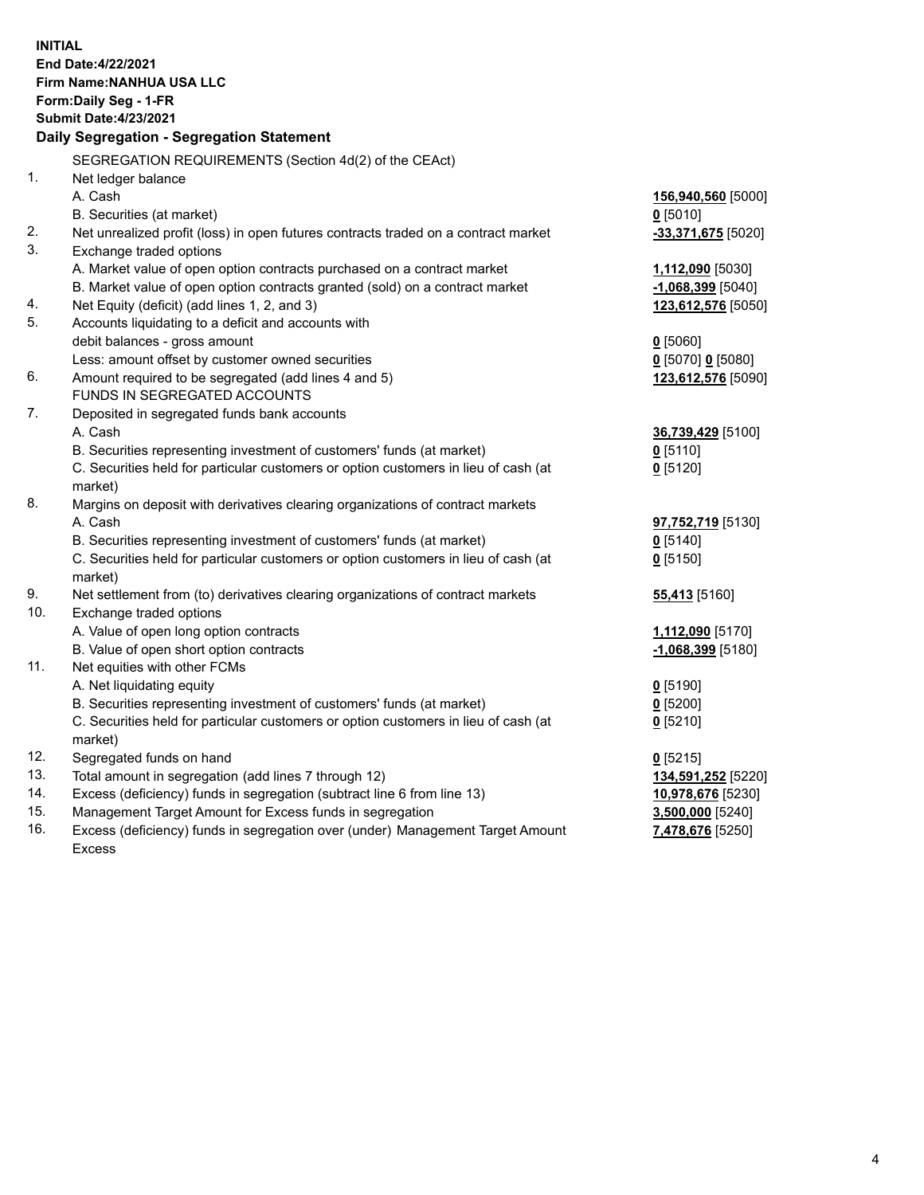| <b>INITIAL</b> | End Date: 4/22/2021<br>Firm Name: NANHUA USA LLC<br>Form: Daily Seg - 1-FR<br><b>Submit Date: 4/23/2021</b><br>Daily Segregation - Segregation Statement |                                      |
|----------------|----------------------------------------------------------------------------------------------------------------------------------------------------------|--------------------------------------|
|                | SEGREGATION REQUIREMENTS (Section 4d(2) of the CEAct)                                                                                                    |                                      |
| 1 <sub>1</sub> | Net ledger balance                                                                                                                                       |                                      |
|                | A. Cash                                                                                                                                                  | 156,940,560 [5000]                   |
| 2.             | B. Securities (at market)<br>Net unrealized profit (loss) in open futures contracts traded on a contract market                                          | $0$ [5010]<br>$-33,371,675$ [5020]   |
| 3.             | Exchange traded options                                                                                                                                  |                                      |
|                | A. Market value of open option contracts purchased on a contract market                                                                                  | 1,112,090 [5030]                     |
|                | B. Market value of open option contracts granted (sold) on a contract market                                                                             | $-1,068,399$ [5040]                  |
| 4.             | Net Equity (deficit) (add lines 1, 2, and 3)                                                                                                             | 123,612,576 [5050]                   |
| 5.             | Accounts liquidating to a deficit and accounts with                                                                                                      |                                      |
|                | debit balances - gross amount                                                                                                                            | $0$ [5060]                           |
|                | Less: amount offset by customer owned securities                                                                                                         | 0 [5070] 0 [5080]                    |
| 6.             | Amount required to be segregated (add lines 4 and 5)                                                                                                     | 123,612,576 [5090]                   |
|                | FUNDS IN SEGREGATED ACCOUNTS                                                                                                                             |                                      |
| 7.             | Deposited in segregated funds bank accounts                                                                                                              |                                      |
|                | A. Cash                                                                                                                                                  | 36,739,429 [5100]                    |
|                | B. Securities representing investment of customers' funds (at market)                                                                                    | $0$ [5110]                           |
|                | C. Securities held for particular customers or option customers in lieu of cash (at                                                                      | $0$ [5120]                           |
|                | market)                                                                                                                                                  |                                      |
| 8.             | Margins on deposit with derivatives clearing organizations of contract markets<br>A. Cash                                                                |                                      |
|                | B. Securities representing investment of customers' funds (at market)                                                                                    | 97,752,719 [5130]                    |
|                | C. Securities held for particular customers or option customers in lieu of cash (at                                                                      | $0$ [5140]<br>$0$ [5150]             |
|                | market)                                                                                                                                                  |                                      |
| 9.             | Net settlement from (to) derivatives clearing organizations of contract markets                                                                          | 55,413 [5160]                        |
| 10.            | Exchange traded options                                                                                                                                  |                                      |
|                | A. Value of open long option contracts                                                                                                                   | 1,112,090 [5170]                     |
|                | B. Value of open short option contracts                                                                                                                  | -1,068,399 [5180]                    |
| 11.            | Net equities with other FCMs                                                                                                                             |                                      |
|                | A. Net liquidating equity                                                                                                                                | $0$ [5190]                           |
|                | B. Securities representing investment of customers' funds (at market)                                                                                    | $0$ [5200]                           |
|                | C. Securities held for particular customers or option customers in lieu of cash (at                                                                      | $0$ [5210]                           |
|                | market)                                                                                                                                                  |                                      |
| 12.            | Segregated funds on hand                                                                                                                                 | $0$ [5215]                           |
| 13.            | Total amount in segregation (add lines 7 through 12)                                                                                                     | 134,591,252 [5220]                   |
| 14.<br>15.     | Excess (deficiency) funds in segregation (subtract line 6 from line 13)<br>Management Target Amount for Excess funds in segregation                      | 10,978,676 [5230]                    |
| 16.            | Excess (deficiency) funds in segregation over (under) Management Target Amount                                                                           | 3,500,000 [5240]<br>7,478,676 [5250] |
|                | <b>Excess</b>                                                                                                                                            |                                      |